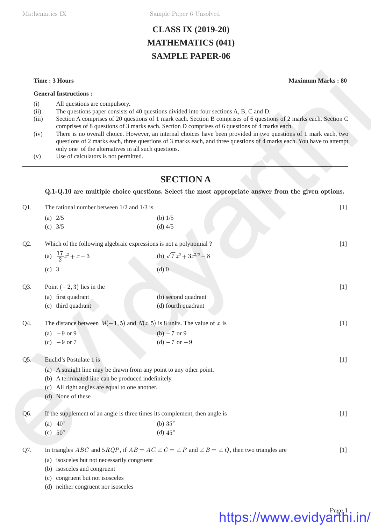Mathematics IX Sample Paper 6 Unsolved

## **CLASS IX (2019-20) MATHEMATICS (041) SAMPLE PAPER-06**

### **General Instructions :**

- (i) All questions are compulsory.
- (ii) The questions paper consists of 40 questions divided into four sections A, B, C and D.
- (iii) Section A comprises of 20 questions of 1 mark each. Section B comprises of 6 questions of 2 marks each. Section C comprises of 8 questions of 3 marks each. Section D comprises of 6 questions of 4 marks each.
- (iv) There is no overall choice. However, an internal choices have been provided in two questions of 1 mark each, two questions of 2 marks each, three questions of 3 marks each, and three questions of 4 marks each. You have to attempt only one of the alternatives in all such questions.
- (v) Use of calculators is not permitted.

### **SECTION A**

|                                     | Time: 3 Hours                                                                                                                |                                                                                                                                                                                                                                                                                                                                                                                                                                                                                                                                                          | <b>Maximum Marks: 80</b> |
|-------------------------------------|------------------------------------------------------------------------------------------------------------------------------|----------------------------------------------------------------------------------------------------------------------------------------------------------------------------------------------------------------------------------------------------------------------------------------------------------------------------------------------------------------------------------------------------------------------------------------------------------------------------------------------------------------------------------------------------------|--------------------------|
|                                     | <b>General Instructions:</b>                                                                                                 |                                                                                                                                                                                                                                                                                                                                                                                                                                                                                                                                                          |                          |
| (i)<br>(ii)<br>(iii)<br>(iv)<br>(v) | All questions are compulsory.<br>only one of the alternatives in all such questions.<br>Use of calculators is not permitted. | The questions paper consists of 40 questions divided into four sections A, B, C and D.<br>Section A comprises of 20 questions of 1 mark each. Section B comprises of 6 questions of 2 marks each. Section C<br>comprises of 8 questions of 3 marks each. Section D comprises of 6 questions of 4 marks each.<br>There is no overall choice. However, an internal choices have been provided in two questions of 1 mark each, two<br>questions of 2 marks each, three questions of 3 marks each, and three questions of 4 marks each. You have to attempt |                          |
|                                     |                                                                                                                              | <b>SECTION A</b>                                                                                                                                                                                                                                                                                                                                                                                                                                                                                                                                         |                          |
|                                     |                                                                                                                              | Q.1-Q.10 are multiple choice questions. Select the most appropriate answer from the given options.                                                                                                                                                                                                                                                                                                                                                                                                                                                       |                          |
| $Q1$ .                              | The rational number between $1/2$ and $1/3$ is                                                                               |                                                                                                                                                                                                                                                                                                                                                                                                                                                                                                                                                          |                          |
|                                     | (a) $2/5$<br>(c) $3/5$                                                                                                       | (b) $1/5$<br>$(d)$ 4/5                                                                                                                                                                                                                                                                                                                                                                                                                                                                                                                                   | $[1]$                    |
| Q2.                                 | Which of the following algebraic expressions is not a polynomial?                                                            |                                                                                                                                                                                                                                                                                                                                                                                                                                                                                                                                                          | $[1]$                    |
|                                     | (a) $\frac{17}{2}x^2 + x - 3$                                                                                                | (b) $\sqrt{7} x^3 + 3x^{2/3} - 8$                                                                                                                                                                                                                                                                                                                                                                                                                                                                                                                        |                          |
|                                     | $(c)$ 3                                                                                                                      | $(d)$ 0                                                                                                                                                                                                                                                                                                                                                                                                                                                                                                                                                  |                          |
| Q3.                                 | Point $(-2, 3)$ lies in the                                                                                                  |                                                                                                                                                                                                                                                                                                                                                                                                                                                                                                                                                          | $[1]$                    |
|                                     | (a) first quadrant<br>(c) third quadrant                                                                                     | (b) second quadrant<br>(d) fourth quadrant                                                                                                                                                                                                                                                                                                                                                                                                                                                                                                               |                          |
| Q4.                                 | The distance between $M(-1, 5)$ and $N(x, 5)$ is 8 units. The value of x is                                                  |                                                                                                                                                                                                                                                                                                                                                                                                                                                                                                                                                          | $[1]$                    |
|                                     | (a) $-9$ or 9<br>(c) $-9$ or 7                                                                                               | (b) $-7$ or 9<br>(d) $-7$ or $-9$                                                                                                                                                                                                                                                                                                                                                                                                                                                                                                                        |                          |
| Q5.                                 | Euclid's Postulate 1 is                                                                                                      |                                                                                                                                                                                                                                                                                                                                                                                                                                                                                                                                                          | $[1]$                    |
|                                     | A terminated line can be produced indefinitely.<br>(b)<br>All right angles are equal to one another.<br>(c)                  | (a) A straight line may be drawn from any point to any other point.                                                                                                                                                                                                                                                                                                                                                                                                                                                                                      |                          |
|                                     | (d) None of these                                                                                                            |                                                                                                                                                                                                                                                                                                                                                                                                                                                                                                                                                          |                          |
| Q6.                                 | If the supplement of an angle is three times its complement, then angle is                                                   |                                                                                                                                                                                                                                                                                                                                                                                                                                                                                                                                                          | $[1]$                    |
|                                     | (a) $40^\circ$<br>(c) $50^{\circ}$                                                                                           | (b) $35^\circ$<br>(d) $45^\circ$                                                                                                                                                                                                                                                                                                                                                                                                                                                                                                                         |                          |
| Q7.                                 | (a) isosceles but not necessarily congruent<br>(b) isosceles and congruent                                                   | In triangles <i>ABC</i> and $5RQP$ , if $AB = AC$ , $\angle C = \angle P$ and $\angle B = \angle Q$ , then two triangles are                                                                                                                                                                                                                                                                                                                                                                                                                             | $[1]$                    |

(c) congruent but not isosceles

(d) neither congruent nor isosceles

# https://www.evidyarthi.in/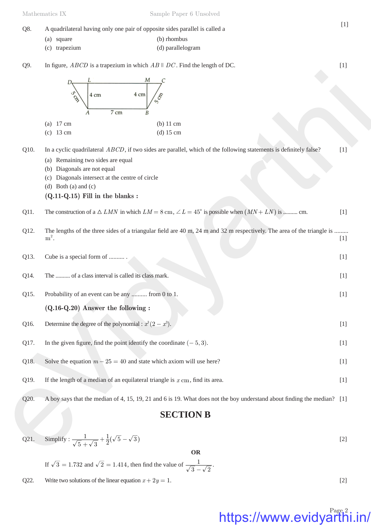Q8. A quadrilateral having only one pair of opposite sides parallel is called a [1]

(a) square (b) rhombus

- (c) trapezium (d) parallelogram
- Q9. In figure, *ABCD* is a trapezium in which  $AB \parallel DC$ . Find the length of DC. [1]



- (c) 13 cm (d) 15 cm
- Q10. In a cyclic quadrilateral *ABCD*, if two sides are parallel, which of the following statements is definitely false? [1]
	- (a) Remaining two sides are equal
	- (b) Diagonals are not equal
	- (c) Diagonals intersect at the centre of circle
	- (d) Both (a) and (c)

$$
(Q.11-Q.15)
$$
 Fill in the blanks :

Q11. The construction of a  $\triangle$  *LMN* in which  $LM = 8$  cm,  $\angle L = 45^{\circ}$  is possible when  $(MN + LN)$  is ......... cm. [1]

- Q12. The lengths of the three sides of a triangular field are  $40 \text{ m}$ ,  $24 \text{ m}$  and  $32 \text{ m}$  respectively. The area of the triangle is ........  $m^2$ . . The contract of the contract of the contract of the contract of the contract of  $[1]$
- Q13. Cube is a special form of .......... . [1] Q14. The .......... of a class interval is called its class mark. [1]  $\frac{P_{\text{total}}}{P_{\text{total}}} = \frac{M}{2 \text{ cm}} = \frac{M}{8}$ <br>
(a) Press<br>
(b) H can<br>
(b) H can<br>
(c) B a consider methods of APC if you descent which with of the following statements is defined filar ?<br>
(f) D and the method of APC if you desce
	- Q15. Probability of an event can be any ........... from 0 to 1. [1]

### **(Q.16-Q.20) Answer the following :**

- Q16. Determine the degree of the polynomial :  $x^3(2 x^3)$ . [1]
- Q17. In the given figure, find the point identify the coordinate  $(-5, 3)$ . [1]
- Q18. Solve the equation  $m 25 = 40$  and state which axiom will use here? [1]
- Q19. If the length of a median of an equilateral triangle is  $x$  cm, find its area.  $[1]$
- Q20. A boy says that the median of 4, 15, 19, 21 and 6 is 19. What does not the boy understand about finding the median? [1]

### **SECTION B**

Q21. Simplify: 
$$
\frac{1}{\sqrt{5} + \sqrt{3}} + \frac{1}{2}(\sqrt{5} - \sqrt{3})
$$
 OR

If  $\sqrt{3} = 1.732$  and  $\sqrt{2} = 1.414$ , then find the value of  $\frac{1}{\sqrt{3}-\sqrt{2}}$  $\frac{1}{-\sqrt{2}}.$ 

Q22. Write two solutions of the linear equation  $x + 2y = 1$ . [2]

# https://www.evidyarthi.in/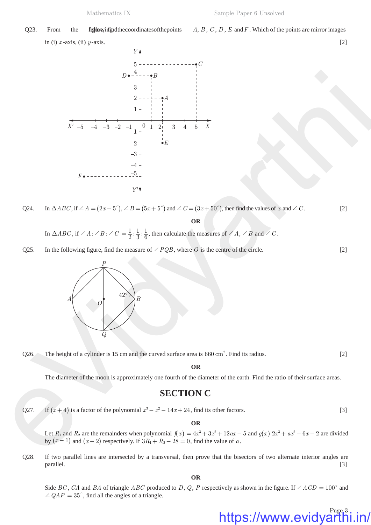in (i) *x* -axis, (ii) *y* -axis. [2]



Q24. In 
$$
\triangle ABC
$$
, if  $\angle A = (2x - 5^{\circ})$ ,  $\angle B = (5x + 5^{\circ})$  and  $\angle C = (3x + 50^{\circ})$ , then find the values of x and  $\angle C$ . [2]

**OR**

- In  $\triangle ABC$ , if  $\angle A : \angle B : \angle C = \frac{1}{2} : \frac{1}{3}$ : 3 1  $=$   $\frac{1}{2}$  :  $\frac{1}{3}$  :  $\frac{1}{6}$ , then calculate the measures of  $\angle A$ ,  $\angle B$  and  $\angle C$ .
- Q25. In the following figure, find the measure of  $\angle PQB$ , where *O* is the centre of the circle. [2]



Q26. The height of a cylinder is 15 cm and the curved surface area is  $660 \text{ cm}^2$ . Find its radius. [2]

**OR**

The diameter of the moon is approximately one fourth of the diameter of the earth. Find the ratio of their surface areas.

### **SECTION C**

Q27. If  $(x + 4)$  is a factor of the polynomial  $x^3 - x^2 - 14x + 24$ , find its other factors. [3]

**OR**

Let *R*<sub>1</sub> and *R*<sub>2</sub> are the remainders when polynomial  $f(x) = 4x^3 + 3x^2 + 12ax - 5$  and  $g(x) = 2x^3 + ax^2 - 6x - 2$  are divided by  $(x - 1)$  and  $(x - 2)$  respectively. If  $3R_1 + R_2 - 28 = 0$ , find the value of *a*.

Q28. If two parallel lines are intersected by a transversal, then prove that the bisectors of two alternate interior angles are  $parallel.$  [3]

**OR**

Side *BC*, *CA* and *BA* of triangle *ABC* produced to *D*, *Q*, *P* respectively as shown in the figure. If  $\angle ACD = 100^\circ$  and  $\angle QAP = 35^{\circ}$ , find all the angles of a triangle.

https://www.evidyarthi.in/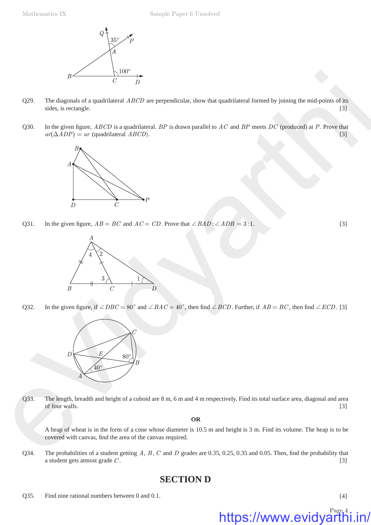

- Q29. The diagonals of a quadrilateral *ABCD* are perpendicular, show that quadrilateral formed by joining the mid-points of its sides, is rectangle. [3]
- Q30. In the given figure, *ABCD* is a quadrilateral. *BP* is drawn parallel to *AC* and *BP* meets *DC* (produced) at *P*. Prove that  $ar(\triangle ADP) = ar$  (quadrilateral *ABCD*). [3]



Q31. In the given figure,  $AB = BC$  and  $AC = CD$ . Prove that  $\angle BAD : \angle ADB = 3:1$ . [3]



Q32. In the given figure, if  $\angle DBC = 80^\circ$  and  $\angle BAC = 40^\circ$ , then find  $\angle BCD$ . Further, if  $AB = BC$ , then find  $\angle ECD$ . [3]



Q33. The length, breadth and height of a cuboid are 8 m, 6 m and 4 m respectively. Find its total surface area, diagonal and area of four walls. [3]

**OR**

A heap of wheat is in the form of a cone whose diameter is 10.5 m and height is 3 m. Find its volume. The heap is to be covered with canvas, find the area of the canvas required.

Q34. The probabilities of a student getting A, B, C and D grades are 0.35, 0.25, 0.35 and 0.05. Then, find the probability that a student gets atmost grade *C* . [3]

## **SECTION D**

Q35. Find nine rational numbers between 0 and 0.1.

[4]

### Page<sub>4</sub> https://www.evidyarth